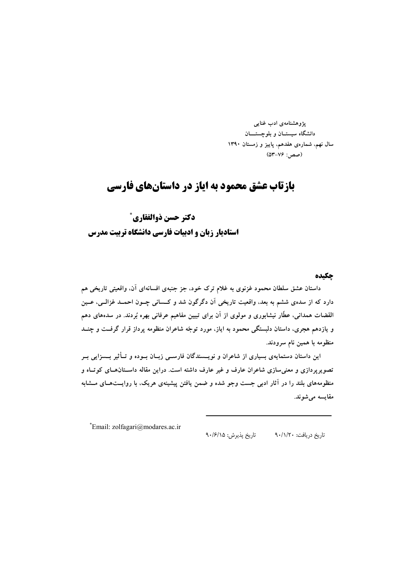پژوهشنامەی ادب غنایی دانشگاه سیستـان و بلوچستـــان سال نهم، شمارهی هفدهم، پاییز و زمستان ۱۳۹۰ (صص: ۷۶–۵۳)

# **بازتاب عشق محمود به ایاز در داستانهای فارسی**

دكتر حسن ذوالفقاري ٌ استادیار زبان و ادبیات فارسی دانشگاه تربیت مدرس

#### چكىدە

داستان عشق سلطان محمود غزنوی به غلام ترک خود، جز جنبهی افسانهای آن، واقعیتی تاریخی هم دارد که از سدهی ششم به بعد، واقعیت تاریخی آن دگرگون شد و کــسانی چــون احمــد غزالــی، عــین القضات همدانی، عطّار نیشابوری و مولوی از آن برای تبیین مفاهیم عرفانی بهره بُردند. در سدههای دهم و یازدهم هجری، داستان دلبستگی محمود به ایاز، مورد توجّه شاعران منظومه پرداز قرار گرفــت و چنــد منظومه با همین نام سرودند.

این داستان دستمایهی بسیاری از شاعران و نویــسندگان فارســی زبــان بــوده و تــأثیر بــسزایی بــر تصویرپردازی و معنی سازی شاعران عارف و غیر عارف داشته است. دراین مقاله داسـتانهـای کوتـاه و منظومههای بلند را در آثار ادبی جست وجو شده و ضمن یافتن پیشینهی هریک، با روایــتهـای مــشابه مقايسه مى شوند.

\*Email: zolfagari@modares.ac.ir

تاريخ پذيرش: ٩٠/۶/١۵ تاريخ دريافت: ٩٠/١/٢٠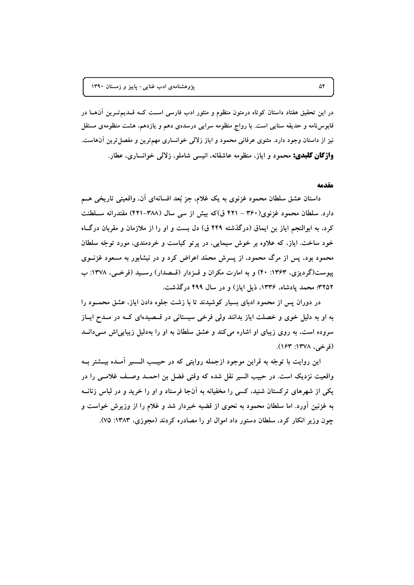در این تحقیق هفتاد داستان کوتاه درمتون منظوم و منثور ادب فارسی اســت کــه قــدیمتــرین آن۱هــا در قابوسنامه و حدیقه سنایی است. با رواج منظومه سرایی درسدهی دهم و یازدهم، هشت منظومهی مستقل نیز از داستان وجود دارد. مثنوی عرفانی محمود و ایاز زلالی خوانساری مهمترین و مفصل ترین آنهاست. **واژگان کلیدی:** محمود و ایاز، منظومه عاشقانه، انیسی شاملو، زلالی خوانساری، عطار.

#### مقدمه

داستان عشق سلطان محمود غزنوی به یک غلام، جز بُعد افسانهای آن، واقعیتی تاریخی هــم دارد. سلطان محمود غزنوی(۳۶۰ – ۴۲۱ ق)که بیش از سی سال (۳۸۸–۴۲۱) مقتدرانه سـلطنت کرد، به ابوالنجم ایاز بن ایماق (درگذشته ۴۴۹ ق) دل بست و او را از ملازمان و مقربان درگ]ه خود ساخت. ایاز، که علاوه بر خوش سیمایی، در پرتو کیاست و خردمندی، مورد توجّه سلطان محمود بود، پس از مرگ محمود، از پسرش محمّد اعراض کرد و در نیشابور به مسعود غزنــوی پیوست(گردیزی، ۱۳۶۳: ۴۰) و به امارت مکران و قــزدار (قــصدار) رســید (فرخــی، ۱۳۷۸: ب ۳۲۵۲؛ محمد یادشاه، ۱۳۳۶، ذیل ایاز) و در سال ۴۹۹ درگذشت.

در دوران پس از محمود ادبای بسیار کوشیدند تا با زشت جلوه دادن ایاز، عشق محمـود را به او به دلیل خوی و خصلت ایاز بدانند ولی فرخی سیستانی در قــصیدهای کــه در مــدح ایــاز سروده است، به روی زیبای او اشاره می کند و عشق سلطان به او را بهدلیل زیبایی اش می دانــد (فرخې، ۱۳۷۸: ۱۶۳).

این روایت با توجّه به قراین موجود ازجمله روایتی که در حبیـب الــسیر آمــده بیــشتر بــه واقعیت نزدیک است. در حبیب السیر نقل شده که وقتی فضل بن احمــد وصـف غلامــی را در یکی از شهرهای ترکستان شنید، کسی را مخفیانه به آنجا فرستاد و او را خرید و در لباس زنانــه به غزنین آورد. اما سلطان محمود به نحوی از قضیه خبردار شد و غلام را از وزیرش خواست و چون وزیر انکار کرد، سلطان دستور داد اموال او را مصادره کردند (مجوزی، ۱۳۸۳: ۷۵).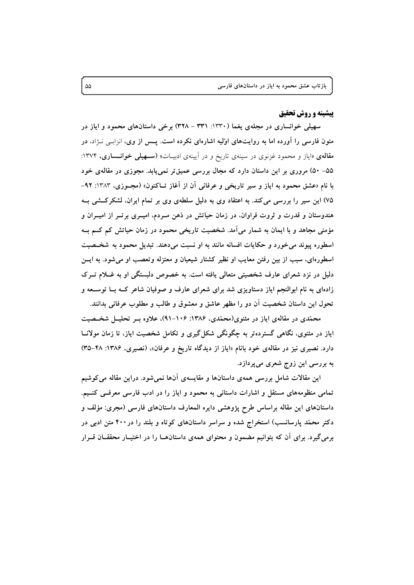### **پیشینه و روش تحقیق**

سهیلی خوانساری در مجلهی یغما (۱۳۳۰: ۳۳۱ – ۳۲۸) برخی داستانهای محمود و ایاز در متون فارسی را آورده اما به روایتهای اوّلیه اشارهای نکرده است. پــس از وی، انزابـی نــژاد، در مقالمهی «ایاز و محمود غزنوی در سینهی تاریخ و در آیینهی ادبیـات» (**ســهیلی خوانــساری**، ۱۳۷۴: ۵۵– ۵۰) مروری بر این داستان دارد که مجال بررسی عمیقتر نمی یابد. مجوزی در مقالهی خود با نام «عشق محمود به ایاز و سیر تاریخی و عرفانی آن از آغاز تــاکنون» (مجــوزی، ۱۳۸۳: ۹۲– ۷۵) این سیر را بررسی می کند. به اعتقاد وی به دلیل سلطهی وی بر تمام ایران، لشکرکشی بـه هندوستان و قدرت و ثروت فراوان، در زمان حیاتش در ذهن مـردم، امیـری برتـر از امیـران و مؤمنی مجاهد و با ایمان به شمار می اَمد. شخصیت تاریخی محمود در زمان حیاتش کم کــم بــه اسطوره پیوند می خورد و حکایات افسانه مانند به او نسبت میدهند. تبدیل محمود به شخـصیت اسطورهای، سبب از بین رفتن معایب او نظیر کشتار شیعیان و معتزله وتعصب او می شود. به ایسن دلیل در نزد شعرای عارف شخصیتی متعالی یافته است. به خصوص دلبستگی او به غــلام تــرک زادهای به نام ابوالنجم ایاز دستاویزی شد برای شعرای عارف و صوفیان شاعر کــه بــا توســعه و تحول این داستان شخصیت آن دو را مظهر عاشق و معشوق و طالب و مطلوب عرفانی بدانند.

محمّدی در مقالهی ایاز در مثنوی(محمّدی، ۱۳۸۶: ۱۰۶–۹۱)، علاوه بـر تحلیــل شخــصیت ایاز در مثنوی، نگاهی گستردهتر به چگونگی شکل گیری و تکامل شخصیت ایاز، تا زمان مولانــا دارد. نصیری نیز در مقالهی خود بانام «ایاز از دیدگاه تاریخ و عرفان»، (نصیری، ۱۳۸۶: ۴۸–۳۵) به بررسی این زوج شعری میپردازد.

این مقالات شامل بررسی همهی داستانها و مقایسهی آنها نمیشود. دراین مقاله می کوشیم تمامی منظومههای مستقل و اشارات داستانی به محمود و ایاز را در ادب فارسی معرفــی کنــیم. داستانهای این مقاله براساس طرح پژوهشی دایره المعارف داستانهای فارسی (مجری: مؤلف و دکتر محمّد پارسانسب) استخراج شده و سراسر داستانهای کوتاه و بلند را در ۴۰۰ متن ادبی در برمیگیرد. برای اَن که بتوانیم مضمون و محتوای همهی داستانهــا را در اختیــار محققــان قــرار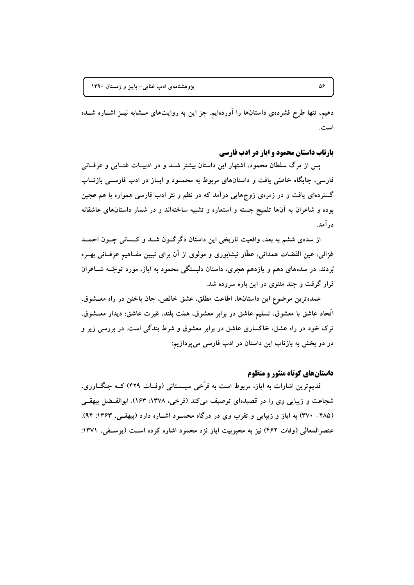دهیم، تنها طرح فشردهی داستانها را آوردهایم. جز این به روایتهای مــشابه نیــز اشــاره شــده است.

#### بازتاب داستان محمود و ایاز در ادب فارسی

پس از مرگ سلطان محمود، اشتهار این داستان بیشتر شــد و در ادبیــات غنــایی و عرفــانی فارسی، جایگاه خاصّی یافت و داستانهای مربوط به محمـود و ایــاز در ادب فارســی بازتــاب گستردهای یافت و در زمرهی زوجهایی درآمد که در نظم و نثر ادب فارسی همواره با هم عجین بوده و شاعران به آنها تلمیح جسته و استعاره و تشبیه ساختهاند و در شمار داستانهای عاشقانه در آمد.

از سدهي ششم به بعد، واقعيت تاريخي اين داستان دگرگـون شــد و كــساني چــون احمــد غزالی، عین القضات همدانی، عطَّار نیشابوری و مولوی از آن برای تبیین مفــاهیم عرفــانی بهــره بُردند. در سدههای دهم و یازدهم هجری، داستان دلبستگی محمود به ایاز، مورد توجّــه شــاعران قرار گرفت و چند مثنوی در این باره سروده شد.

عمدهترین موضوع این داستانها، اطاعت مطلق، عشق خالص، جان باختن در راه معـشوق. اتحاد عاشق با معشوق، تسليم عاشق در برابر معشوق، همّت بلند، غيرت عاشق؛ ديدار معــشوق، ترک خود در راه عشق، خاکساری عاشق در برابر معشوق و شرط بندگی است. در بررسی زیر و در دو بخش به بازتاب این داستان در ادب فارسی میپردازیم:

# داستانهای کوتاه منثور و منظوم

قدیمترین اشارات به ایاز، مربوط است به فرَّخی سیـــستانی (وفــات ۴۲۹) کــه جنگـــاوری، شجاعت و زیبایی وی را در قصیدهای توصیف می کند (فرخی، ۱۳۷۸: ۱۶۳). ابوالفیضل بیهقبی (۴۸۵– ۳۷۰) به ایاز و زیبایی و تقرب وی در درگاه محمـود اشـاره دارد (بیهقـی، ۱۳۶۳: ۹۴). عنصرالمعالي (وفات ۴۶۲) نيز به محبوبيت اياز نزد محمود اشاره كرده است (يوسفي، ۱۳۷۱: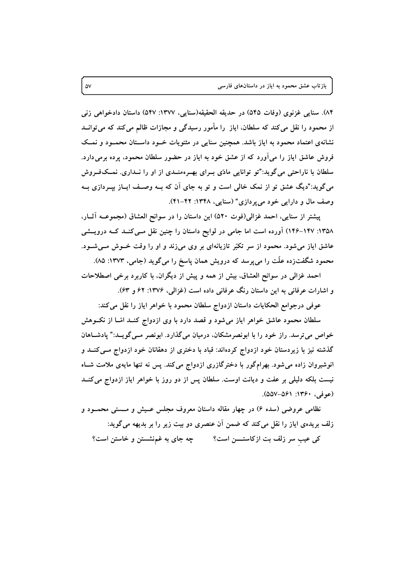٨۴). سنایی غزنوی (وفات ٥۴۵) در حدیقه الحقیقه(سنایی، ١٣٧٧: ٥۴٧) داستان دادخواهی زنی از محمود را نقل می کند که سلطان، ایاز را مأمور رسیدگی و مجازات ظالم می کند که می توانــد نشانهی اعتماد محمود به ایاز باشد. همچنین سنایی در مثنویات خـود داسـتان محمـود و نمـک فروش عاشق ایاز را میآورد که از عشق خود به ایاز در حضور سلطان محمود، پرده برمیدارد. سلطان با ناراحتی می گوید:"تو توانایی مادّی بـرای بهـرهمنــدی از او را نــداری. نمــکفــروش می گوید:"دیگ عشق تو از نمک خالی است و تو به جای آن که بــه وصــف ایــاز بیــردازی بــه وصف مال و دارایی خود می بر دازی" (سنایی، ۱۳۴۸: ۴۲–۴۱).

ییشتر از سنایی، احمد غزالی(فوت ۵۲۰) این داستان را در سوانح العشاق (مجموعـه آثــار، ۱۳۵۸: ۱۴۷–۱۴۶) آورده است اما جامی در لوایح داستان را چنین نقل مــی کنــد کــه درویــشی عاشق ایاز میشود. محمود از سر تکبّر تازیانهای بر وی میزند و او را وقت خــوش مــیشــود. محمود شگفتزده علّت را میپرسد که درویش همان پاسخ را میگوید (جامی، ۱۳۷۳: ۸۵).

احمد غزالی در سوانح العشاق، بیش از همه و پیش از دیگران، با کاربرد برخی اصطلاحات و اشارات عرفانی به این داستان رنگ عرفانی داده است (غزالی، ۱۳۷۶: ۶۲ و ۶۳).

عوفي درجوامع الحكايات داستان ازدواج سلطان محمود با خواهر اياز را نقل مي كند:

سلطان محمود عاشق خواهر ایاز میشود و قصد دارد با وی ازدواج کنـد امّـا از نکــوهش خواص می ترسد. راز خود را با ابونصرمشکان، درمیان می گذارد. ابونصر مــی گویــد:" پادشــاهان گذشته نیز با زیردستان خود ازدواج کردهاند: قباد با دختری از دهقانان خود ازدواج مــیکنــد و انوشیروان زاده می شود. بهرامگور با دخترگازری ازدواج می کند. پس نه تنها مایهی ملامت شـاه نیست بلکه دلیلی بر عفت و دیانت اوست. سلطان پس از دو روز با خواهر ایاز ازدواج می کنــد (عوفي، ١٣۶٠: ٥٥٧-٥٥٧).

نظامی عروضی (سده ۶) در چهار مقاله داستان معروف مجلس عـیش و مـستی محمـود و زلف بریدهی ایاز را نقل میکند که ضمن آن عنصری دو بیت زیر را بر بدیهه میگوید: کی عیب سر زلف بت ازکاستــــن است؟ می چه جای به غم نشستن و خاستن است؟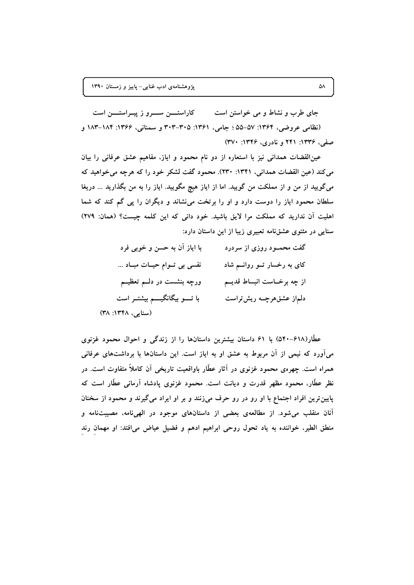جای طرب و نشاط و می خواستن است مسلم کاراستسن سسرو ز پیـراستــــن است (نظامی عروضی، ۱۳۶۴: ۵۵–۵۵؛ جامی، ۱۳۶۱: ۳۰۵–۳۰۳ و سمنانی، ۱۳۶۶: ۱۸۴–۱۸۳ و صفی، ۱۳۳۶: ۲۴۱ و نادری، ۱۳۴۶: ۳۷۰)

عین القضات همدانی نیز با استعاره از دو نام محمود و ایاز، مفاهیم عشق عرفانی را بیان می کند (عین القضات همدانی، ۱۳۴۱: ۲۳۰). محمود گفت لشکر خود را که هرچه می خواهید که میگویید از من و از مملکت من گویید. اما از ایاز هیچ مگویید. ایاز را به من بگذارید … دریغا سلطان محمود ایاز را دوست دارد و او را برتخت می نشاند و دیگران را یی گم کند که شما اهلیت آن ندارید که مملکت مرا لایق باشید. خود دانی که این کلمه چیست؟ (همان: ٢٧٩) سنایی در مثنوی عشقنامه تعبیری زیبا از این داستان دارد:

| با ایاز آن به حسن و خوبی فرد       | گفت محمــود روزی از سردرد     |
|------------------------------------|-------------------------------|
| نفسی بی تــوام حیــات مبــاد       | کای به رخسار تــو روانــم شاد |
| ورچه بنشست در دلـــم تعظیـــم      | از چه برخــاست انبساط قدیــم  |
| با تــــو بیگانگیــــم بیشتــر است | دلماز عشقهرچــه ریشتراست      |
| (سنایی، ۱۳۴۸: ۳۸)                  |                               |

عطَّار(۶۱۸–۵۴۰) با ۶۱ داستان بیشترین داستانها را از زندگی و احوال محمود غزنوی میآورد که نیمی از آن مربوط به عشق او به ایاز است. این داستانها با برداشتهای عرفانی همراه است. چهرهی محمود غزنوی در آثار عطّار باواقعیت تاریخی آن کاملاً متفاوت است. در نظر عطَّار، محمود مظهر قدرت و دیانت است. محمود غزنوی یادشاه آرمانی عطَّار است که پایینترین افراد اجتماع با او رو در رو حرف میزنند و بر او ایراد میگیرند و محمود از سخنان آنان منقلب میشود. از مطالعهی بعضی از داستانهای موجود در الهیiامه، مصیبتنامه و منطق الطیر، خواننده به یاد تحول روحی ابراهیم ادهم و فضیل عیاض میافتد: او مهمان رند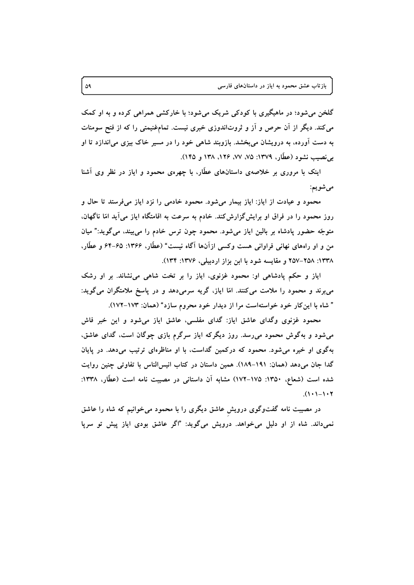گلخن میشود؛ در ماهیگیری با کودکی شریک میشود؛ با خارکشی همراهی کرده و به او کمک می کند. دیگر از آن حرص و آز و ثروتاندوزی خبری نیست. تمامفنیمتی را که از فتح سومنات به دست آورده، به درویشان میبخشد. بازوبند شاهی خود را در مسیر خاک بیزی می|ندازد تا او بی نصیب نشود (عطّار، ۱۳۷۹: ۷۵، ۷۷، ۱۲۶، ۱۳۸ و ۱۴۵).

اینک با مروری بر خلاصهی داستانهای عطّار، با چهرهی محمود و ایاز در نظر وی آشنا مي شويم:

محمود و عیادت از ایاز: ایاز بیمار می شود. محمود خادمی را نزد ایاز می فرستد تا حال و روز محمود را در فراق او برایش گزارش کند. خادم به سرعت به اقامتگاه ایاز می آید امّا ناگهان. متوجّه حضور پادشاه بر بالین ایاز میشود. محمود چون ترس خادم را می بیند، می گوید:" میان من و او راههای نهانی فراوانی هست وکسی ازآنها آگاه نیست" (عطَّار، ۱۳۶۶: ۶۵–۶۴ و عطَّار، ۱۳۳۸: ۲۵۸-۲۵۷ و مقایسه شود با ابن بزاز اردبیلی، ۱۳۷۶: ۱۳۴).

ایاز و حکم یادشاهی او: محمود غزنوی، ایاز را بر تخت شاهی می نشاند. بر او رشک میبرند و محمود را ملامت میکنند. امّا ایاز، گریه سرمیدهد و در پاسخ ملامتگران میگوید: " شاه با این کار خود خواستهاست مرا از دیدار خود محروم سازد" (همان: ۱۷۳-۱۷۲).

محمود غزنوی وگدای عاشق ایاز: گدای مفلسی، عاشق ایاز میشود و این خبر فاش میشود و بهگوش محمود میرسد. روز دیگرکه ایاز سرگرم بازی چوگان است، گدای عاشق، بهگوی او خیره می شود. محمود که درکمین گداست، با او مناظرهای ترتیب میدهد. در پایان گدا جان میدهد (همان: ۱۹۱-۱۸۹). همین داستان در کتاب انیسالناس با تفاوتی چنین روایت شده است (شعاع، ۱۳۵۰: ۱۷۵–۱۷۲) مشابه آن داستانی در مصیبت نامه است (عطَّار، ۱۳۳۸:  $(1 \cdot 1 - 1 \cdot 7)$ 

در مصیبت نامه گفتوگوی درویش عاشق دیگری را با محمود می خوانیم که شاه را عاشق نمیداند. شاه از او دلیل میخواهد. درویش میگوید: "اگر عاشق بودی ایاز پیش تو سرپا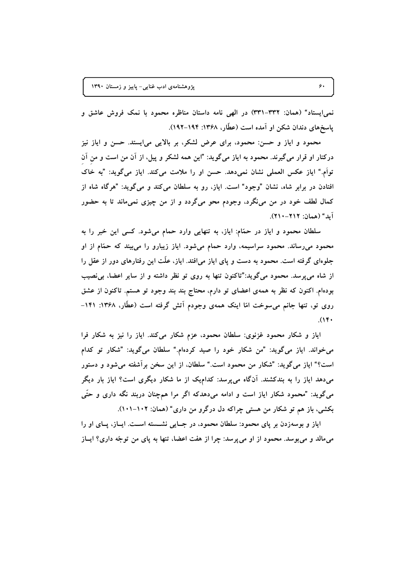نمی ایستاد" (همان: ۳۳۲–۳۳۱) در الهی نامه داستان مناظره محمود با نمک فروش عاشق و پاسخهای دندان شکن او آمده است (عطّار، ۱۳۶۸: ۱۹۴–۱۹۲).

محمود و ایاز و حسن: محمود، برای عرض لشکر، بر بالایی می!یستد. حسن و ایاز نیز درکنار او قرار میگیرند. محمود به ایاز میگوید: "این همه لشکر و پیل، از آن من است و من آن تواَّم." اياز عكس العملي نشان نمي دهد. حسن او را ملامت مي كند. اياز مي گويد: "به خاک افتادن در برابر شاه، نشان "وجود" است. ایاز، رو به سلطان می کند و می گوید: "هرگاه شاه از کمال لطف خود در من می،نگرد، وجودم محو میگردد و از من چیزی نمی،ماند تا به حضور آيد" (همان: ٢١٢-٢١٠).

سلطان محمود و ایاز در حمّام: ایاز، به تنهایی وارد حمام میشود. کسی این خبر را به محمود میرساند. محمود سراسیمه، وارد حمام میشود. ایاز زیبارو را میبیند که حمّام از او جلوهای گرفته است. محمود به دست و پای ایاز می|فتد. ایاز، علّت این رفتارهای دور از عقل را از شاه می پرسد. محمود میگوید:"تاکنون تنها به روی تو نظر داشته و از سایر اعضا، بی نصیب بوده!م. اکنون که نظر به همهی اعضای تو دارم، محتاج بند بند وجود تو هستم. تاکنون از عشق روی تو، تنها جانم میسوخت امّا اینک همهی وجودم اَتش گرفته است (عطَّار، ۱۳۶۸: ۱۴۱–  $.$ (۱۴۰)

ایاز و شکار محمود غزنوی: سلطان محمود، عزم شکار می کند. ایاز را نیز به شکار فرا می خواند. ایاز می گوید: "من شکار خود را صید کردهام." سلطان می گوید: "شکار تو کدام است؟" ایاز میگوید: "شکار من محمود است." سلطان، از این سخن برآشفته میشود و دستور میدهد ایاز را به بندکشند. آنگاه می پرسد: کدامیک از ما شکار دیگری است؟ ایاز بار دیگر میگوید: "محمود شکار ایاز است و ادامه میدهدکه اگر مرا همچنان دربند نگه داری و حتّی بکشی، باز هم تو شکار من هستی چراکه دل درگرو من داری" (همان: ۱۰۲–۱۰۱).

ایاز و بوسهزدن بر پای محمود: سلطان محمود، در جـایی نشــسته اســت. ایــاز، پـای او را میمالد و می بوسد. محمود از او می پرسد: چرا از هفت اعضا، تنها به پای من توجّه داری؟ ایــاز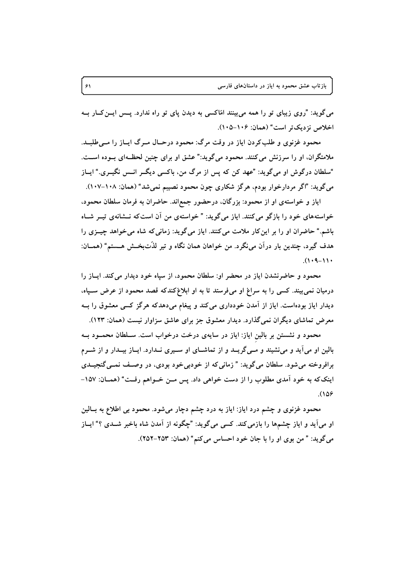میگوید: "روی زیبای تو را همه می بینند امّاکسی به دیدن پای تو راه ندارد. پــس ایــن کــار بــه اخلاص نزديك تر است" (همان: ۱۰۶–۱۰۵).

محمود غزنوی و طلبکردن ایاز در وقت مرگ: محمود درحـال مـرگ ایــاز را مــی طلبــد. ملامتگران، او را سرزنش می کنند. محمود می گوید:" عشق او برای چنین لحظـهای بــوده اســت. "سلطان درگوش او میگوید: "عهد کن که پس از مرگ من، باکسی دیگــر انــس نگیــری." ایــاز میگوید: "اگر مردارخوار بودم، هرگز شکاری چون محمود نصیبم نمیشد" (همان: ۱۰۸–۱۰۷).

ایاز و خواستهی او از محمود: بزرگان، درحضور جمع اند. حاضران به فرمان سلطان محمود، خواستههای خود را بازگو می کنند. ایاز می گوید: " خواستهی من آن است که نــشانهی تیــر شــاه باشم." حاضران او را بر این کار ملامت می کنند. ایاز می گوید: زمانی که شاه می خواهد چیــزی را هدف گیرد، چندین بار درآن می،نگرد. من خواهان همان نگاه و تیر لذّتبخش هــستم" (همــان:  $(1.4 - 1)$ 

محمود و حاضرنشدن ایاز در محضر او: سلطان محمود، از سیاه خود دیدار می کند. ایــاز را درمیان نمی بیند. کسی را به سراغ او میفرستد تا به او ابلاغ کندکه قصد محمود از عرض سـپاه، دیدار ایاز بودهاست. ایاز از اَمدن خودداری میکند و پیغام میدهدکه هرگز کسی معشوق را بــه معرض تماشای دیگران نمیگذارد. دیدار معشوق جز برای عاشق سزاوار نیست (همان: ۱۲۳).

محمود و نشستن بر بالین ایاز: ایاز در سایهی درخت درخواب است. سـلطان محمــود بــه بالین او میآید و می نشیند و مسیگریــد و از تماشــای او ســیری نــدارد. ایــاز بیــدار و از شــرم برافروخته می شود. سلطان می گوید: " زمانی که از خودبی خود بودی، در وصف نمــی گنجیــدی اینک که به خود آمدی مطلوب را از دست خواهی داد. پس مـن خـواهم رفـت" (همـان: ۱۵۷- $(108)$ 

محمود غزنوی و چشم درد ایاز: ایاز به درد چشم دچار میشود. محمود بی اطلاع به بــالین او میآید و ایاز چشمها را بازمی کند. کسی میگوید: "چگونه از آمدن شاه باخبر شــدی ؟" ایــاز میگوید: " من بوی او را با جان خود احساس میکنم" (همان: ۲۵۳-۲۵۲).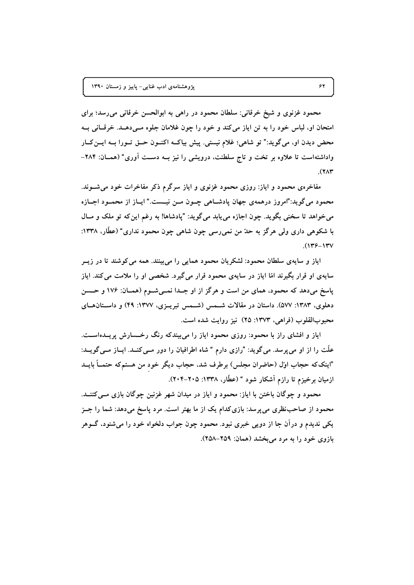محمود غزنوی و شیخ خرقانی: سلطان محمود در راهی به ابوالحسن خرقانی میرسد؛ برای امتحان او، لباس خود را به تن اياز مي كند و خود را چون غلامان جلوه مــيدهــد. خرقــاني بــه محض دیدن او، میگوید:" تو شاهی؛ غلام نیستی. پیش بیاکـه اکنــون حــق تــورا بــه ایــن کــار واداشتهاست تا علاوه بر تخت و تاج سلطنت، درویشی را نیز بـه دسـت آوری" (همـان: ۲۸۴–  $(Y \wedge Y)$ 

مفاخرهی محمود و ایاز: روزی محمود غزنوی و ایاز سرگرم ذکر مفاخرات خود می شـوند. محمود مي گويد:"امروز درهمهي جهان يادشــاهي چــون مــن نيــست." ايــاز از محمــود اجــازه مي خواهد تا سخني بگويد. چون اجازه مي پابد مي گويد: "يادشاها! به رغم اين كه تو ملك و مــال با شکوهی داری ولی هرگز به حلّ من نمی٫سی چون شاهی چون محمود نداری" (عطَّار، ۱۳۳۸:  $(179 - 17V$ 

ایاز و سایهی سلطان محمود: لشکریان محمود همایی را می بینند. همه می کوشند تا در زیــر سایهی او قرار بگیرند امّا ایاز در سایهی محمود قرار می گیرد. شخصی او را ملامت می کند. ایاز پاسخ میدهد که محمود، همای من است و هرگز از او جـدا نمـیشـوم (همـان: ۱۷۶ و حــسن دهلوی، ۱۳۸۳: ۵۷۷). داستان در مقالات شـمس (شـمس تبریـزی، ۱۳۷۷: ۴۹) و داسـتانهـای محبوبالقلوب (فراهي، ١٣٧٣: ٢٥) نيز روايت شده است.

ایاز و افشای راز با محمود: روزی محمود ایاز را می بیندکه رنگ رخــــارش پریــدهاســت. علَّت را از او می پرسد. می گوید: "رازی دارم " شاه اطرافیان را دور مــی کنــد. ایــاز مــی گویــد: "اینککه حجاب اوّل (حاضران مجلس) برطرف شد، حجاب دیگر خود من هستمکه حتمــاً بایــد ازمیان برخیزم تا رازم آشکار شود " (عطّار، ۱۳۳۸: ۲۰۵–۲۰۴).

محمود و چوگان باختن با ایاز: محمود و ایاز در میدان شهر غزنین چوگان بازی مــیکتنــد. محمود از صاحب نظری می پرسد: بازیکدام یک از ما بهتر است. مرد پاسخ میدهد: شما را جــز يکي نديدم و درآن جا از دويي خبري نبود. محمود چون جواب دلخواه خود را مي شنود، گــوهر بازوی خود را به مرد میبخشد (همان: ۲۵۹–۲۵۸).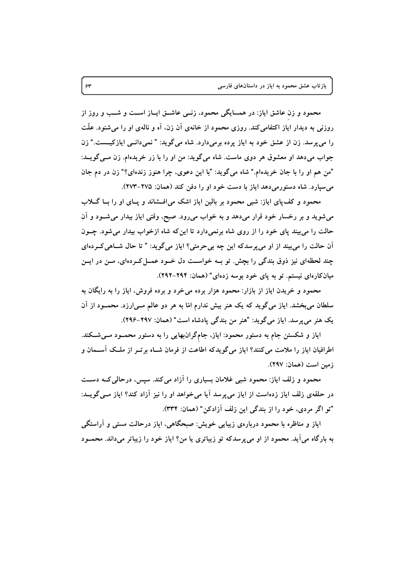محمود و زن عاشق ایاز: در همسایگی محمود، زنــی عاشــق ایــاز اســت و شــب و روز از روزنی به دیدار ایاز اکتفامیکند. روزی محمود از خانهی آن زن، آه و نالهی او را میشنود. علّت را می پرسد. زن از عشق خود به ایاز پرده برمیدارد. شاه میگوید: " نمیدانسی ایازکیــست." زن جواب میدهد او معشوق هر دوی ماست. شاه میگوید: من او را با زر خریدهام. زن مـیگویــد: "من هم او را با جان خريدهام." شاه مي گويد: "با اين دعوي، چرا هنوز زندهاي؟" زن در دم جان می سپارد. شاه دستورمیدهد ایاز با دست خود او را دفن کند (همان: ۲۷۵–۲۷۳).

محمود و کف یای ایاز: شبی محمود بر بالین ایاز اشک می افستاند و پای او را بـا گـــلاب میشوید و بر رخسار خود قرار میدهد و به خواب میرود. صبح، وقتی ایاز بیدار میشود و آن حالت را میبیند پای خود را از روی شاه برنمیدارد تا اینکه شاه ازخواب بیدار میشود. چــون أن حالت را میبیند از او میپرسدکه این چه بیحرمتی؟ ایاز میگوید: " تا حال شــاهی کــردهای چند لحظهای نیز ذوق بندگی را بچش. تو بــه خواســت دل خــود عمــل کــردهای، مــن در ایــن میانکارهای نیستم. تو به پای خود بوسه زدهای" (همان: ۲۹۴–۲۹۲).

محمود و خریدن ایاز از بازار: محمود هزار برده میخرد و برده فروش، ایاز را به رایگان به سلطان می بخشد. ایاز میگوید که یک هنر بیش ندارم امّا به هر دو عالم مــی|رزد. محمــود از اَن يک هنر مي پرسد. اياز مي گويد: "هنر من بندگي پادشاه است" (همان: ٢٩٧-٢٩۶).

ایاز و شکستن جام به دستور محمود: ایاز، جامگرانبهایی را به دستور محمـود مـیشـکند. اطرافیان ایاز را ملامت میکنند؟ ایاز میگویدکه اطاعت از فرمان شـاه برتــر از ملــک آســمان و زمين است (همان: ٢٩٧).

محمود و زلف ایاز: محمود شبی غلامان بسیاری را آزاد می کند. سپس، درحالی کــه دســت در حلقهی زلف ایاز زدهاست از ایاز می پرسد آیا می خواهد او را نیز آزاد کند؟ ایاز مــی گویــد: "تو اگر مردی، خود را از بندگی این زلف آزادکن" (همان: ۳۳۴).

ایاز و مناظره با محمود دربارهی زیبایی خویش: صبحگاهی، ایاز درحالت مستی و آراستگی به بارگاه میآید. محمود از او میپرسدکه تو زیباتری یا من؟ ایاز خود را زیباتر میداند. محمـود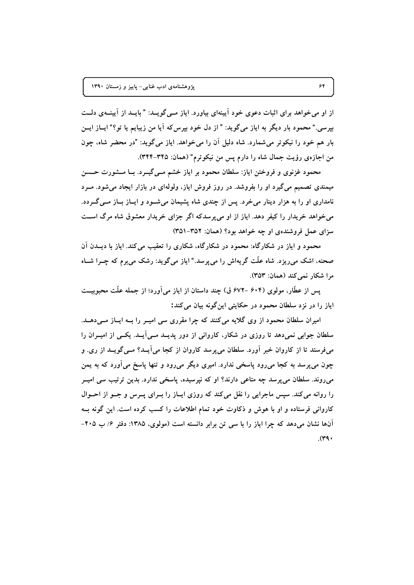از او می خواهد برای اثبات دعوی خود آیینهای بیاورد. ایاز مــی گویــد: "بایــد از آیینــهی دلــت بیرسی." محمود بار دیگر به ایاز میگوید: " از دل خود بیرس که آیا من زیبایم یا تو؟" ایــاز ایــن بار هم خود را نیکوتر می شمارد. شاه دلیل آن را می خواهد. ایاز می گوید: "در محضر شاه، چون من اجازهی رؤیت جمال شاه را دارم پس من نیکوترم" (همان: ۳۴۵–۳۴۴).

محمود غزنوی و فروختن ایاز: سلطان محمود بر ایاز خشم مــی&پــرد. بــا مــشورت حــسن میمندی تصمیم می گیرد او را بفروشد. در روز فروش ایاز، ولولهای در بازار ایجاد می شود. مــرد نامداری او را به هزار دینار میخرد. پس از چندی شاه پشیمان می شـود و ایــاز بــاز مــی گــردد. مي خواهد خريدار را كيفر دهد. اياز از او مي پرسدكه اگر جزاي خريدار معشوق شاه مرگ است سزای عمل فروشندهی او چه خواهد بود؟ (همان: ۳۵۲–۳۵۱)

محمود و ایاز در شکارگاه: محمود در شکارگاه، شکاری را تعقیب می کند. ایاز با دیــدن آن صحنه، اشک میروزد. شاه علَّت گریهاش را می پرسد." ایاز میگوید: رشک می برم که چــرا شــاه مرا شكار نمر كند (همان: ٣٥٣).

پس از عطَّار، مولوی (۶۰۴ –۶۷۲ ق) چند داستان از ایاز می[ورد؛ از جمله علَّت محبوبیــت ایاز را در نزد سلطان محمود در حکایتی این گونه بیان میکند:

امیران سلطان محمود از وی گلایه میکنند که چرا مقرری سی امیــر را بــه ایــاز مــیدهــد. سلطان جوابی نمیدهد تا روزی در شکار، کاروانی از دور پدیــد مــی]یــد. یکــی از امیــران را میفرستد تا از کاروان خبر آورد. سلطان می پرسد کاروان از کجا می آیــد؟ مــی گویــد از ری. و چون می پرسد به کجا میرود پاسخی ندارد. امیری دیگر میرود و تنها پاسخ میآورد که به یمن میروند. سلطان می پرسد چه متاعی دارند؟ او که نیرسیده، پاسخی ندارد. بدین ترتیب سی امیــر را روانه می کند. سپس ماجرایی را نقل می کند که روزی ایـاز را بـرای پــرس و جــو از احــوال کاروانی فرستاده و او با هوش و ذکاوت خود تمام اطلاعات را کسب کرده است. این گونه بـه آنها نشان میدهد که چرا ایاز را با سی تن برابر دانسته است (مولوی، ۱۳۸۵: دفتر ۶/ ب ۴۰۵–  $(rq)$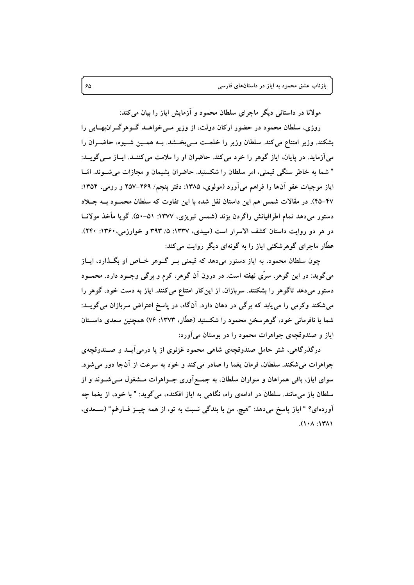مولانا در داستانی دیگر ماجرای سلطان محمود و آزمایش ایاز را بیان می کند:

روزی، سلطان محمود در حضور ارکان دولت، از وزیر مـیخواهـد گـوهرگـرانبهـایی را بشکند. وزیر امتناع می کند. سلطان وزیر را خلعـت مــیبخــشد. بــه همــین شــیوه، حاضــران را می آزماید. در پایان، ایاز گوهر را خرد می کند. حاضران او را ملامت می کننـد. ایـاز مـی گویـد: " شما به خاطر سنگی قیمتی، امر سلطان را شکستید. حاضران پشیمان و مجازات می شـوند. امّــا اياز موجبات عفو آنها را فراهم مي آورد (مولوي، ١٣٨۵: دفتر ينجم/ ٢۶٩-٢۵٧ و رومي، ١٣٥۴: ۴۷–۴۵). در مقالات شمس هم این داستان نقل شده با این تفاوت که سلطان محمـود بــه جــلاد دستور مي دهد تمام اطرافيانش راگردن بزند (شمس تبريزي، ١٣٧٧: ٥١-۵٠). گويا مأخذ مولانــا در هر دو روايت داستان كشف الاسرار است (ميبدي، ١٣٣٧: ۵/ ٣٩٣ و خوارزمي، ١٣۶٠: ٢۴٠). عطَّار ماجرای گوهرشکنی ایاز را به گونهای دیگر روایت می کند:

چون سلطان محمود، به ایاز دستور میدهد که قیمتی بـر گــوهر خــاص او بگــذارد، ایــاز میگوید: در این گوهر، سرّی نهفته است. در درون آن گوهر، کرم و برگی وجــود دارد. محمــود دستور میدهد تاگوهر را بشکنند. سربازان، از اینکار امتناع میکنند. ایاز به دست خود، گوهر را میشکند وکرمی را می یابد که برگی در دهان دارد. آنگاه، در پاسخ اعتراض سربازان میگویــد: شما با نافرمانی خود، گوهرسخن محمود را شکستید (عطّار، ۱۳۷۳: ۷۶) همچنین سعدی داســتان ایاز و صندوقچهی جواهرات محمود را در بوستان می آورد:

درگذرگاهی، شتر حامل صندوقچهی شاهی محمود غزنوی از یا درمی آیــد و صــندوقچهی جواهرات می شکند. سلطان، فرمان یغما را صادر می کند و خود به سرعت از آنجا دور می شود. سوای ایاز، باقی همراهان و سواران سلطان، به جمــع آوری جــواهرات مــشغول مــیشــوند و از سلطان باز میمانند. سلطان در ادامهی راه، نگاهی به ایاز افکنده، میگوید: " با خود، از یغما چه آوردهای؟ " ایاز پاسخ می،دهد: "هیچ. من با بندگی نسبت به تو، از همه چیــز فــارغم" (ســعدی،  $(1.41:1.7)$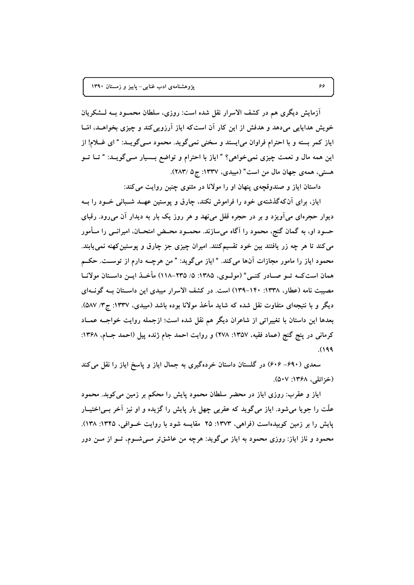آزمایش دیگری هم در کشف الاسرار نقل شده است: روزی، سلطان محمــود بــه لــشکریان خویش هدایایی میدهد و هدفش از این کار آن استکه ایاز آرزویی کند و چیزی بخواهـد، امّــا ایاز کمر بسته و با احترام فراوان می|یستد و سخنی نمیگوید. محمود مــیگویــد: " ای غــلام! از این همه مال و نعمت چیزی نمی خواهی؟ " ایاز با احترام و تواضع بـــــار مــی گویــد: " تــا تــو هستي، همه ي جهان مال من است" (ميبدي، ١٣٣٧: ج ٥ /٢٨٣).

داستان ایاز و صندوقچهی پنهان او را مولانا در مثنوی چنین روایت می کند:

ایاز، برای آنکهگذشتهی خود را فراموش نکند، چارق و پوستین عهــد شــبانی خــود را بــه دیوار حجرهای می آویزد و بر در حجره قفل می نهد و هر روز یک بار به دیدار آن می رود. رقبای حسود او، به گمان گنج، محمود را آگاه میسازند. محمــود محــض امتحــان، امیرانــی را مــأمور می کند تا هر چه زر یافتند بین خود تقسیم کنند. امیران چیزی جز چارق و پوستین کهنه نمی یابند. محمود ایاز را مامور مجازات آنها میکند. "ایاز میگوید: " من هرچـه دارم از توسـت. حکـم همان است کــه تــو صــادر کنــی" (مولــوی، ۱۳۸۵: ۵/ ۲۳۵-۱۱۸) مأخــذ ایــن داســتان مولانــا مصیبت نامه (عطار، ۱۳۳۸: ۱۴۰-۱۳۹) است. در کشف الاسرار میبدی این داسـتان بـه گونــهای دیگر و با نتیجهای متفاوت نقل شده که شاید مأخذ مولانا بوده باشد (میبدی، ۱۳۳۷: ج۳/ ۵۸۷). بعدها این داستان با تغییراتی از شاعران دیگر هم نقل شده است؛ ازجمله روایت خواجــه عمــاد كرماني در پنج گنج (عماد فقيه، ١٣٥٧: ٢٧٨) و روايت احمد جام ژنده پيل (احمد جـام، ١٣۶٨:  $(199)$ 

سعدی (۶۹۰– ۶۰۶) در گلستان داستان خردهگیری به جمال ایاز و پاسخ ایاز را نقل میکند (خزائلي، ۱۳۶۸: ۵۰۷).

ایاز و عقرب: روزی ایاز در محضر سلطان محمود پایش را محکم بر زمین می کوبد. محمود علّت را جویا می شود. ایاز می گوید که عقربی چهل بار پایش را گزیده و او نیز آخر بــی|ختیــار یایش را بر زمین کوبیدهاست (فراهی، ۱۳۷۳: ۲۵ مقایسه شود با روایت خــوافی، ۱۳۴۵: ۱۳۸). محمود و ناز ایاز: روزی محمود به ایاز میگوید: هرچه من عاشقتر مــیشــوم، تــو از مــن دور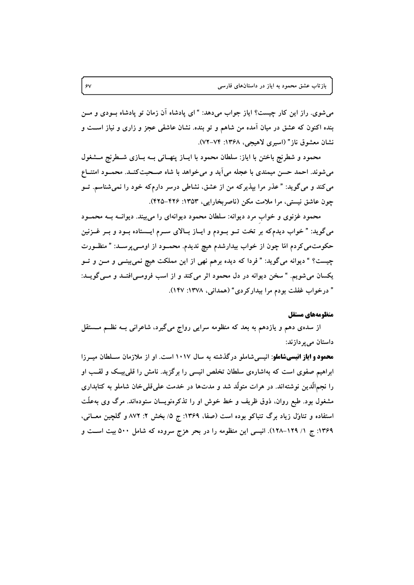میشوی. راز این کار چیست؟ ایاز جواب میدهد: " ای پادشاه آن زمان تو پادشاه بــودی و مــن بنده اکنون که عشق در میان آمده من شاهم و تو بنده. نشان عاشقی عجز و زاری و نیاز اســت و نشان معشوق ناز" (اسیری لاهیجی، ۱۳۶۸: ۷۲–۷۲).

محمود و شطرنج باختن با اياز: سلطان محمود با ايـاز پنهـاني بــه بــازي شــطرنج مــشغول می شوند. احمد حسن میمندی با عجله می آید و می خواهد با شاه صـحبت کنــد. محمــود امتنــاع می کند و میگوید: " عذر مرا بپذیرکه من از عشق، نشاطی درسر دارمکه خود را نمیشناسم. تــو چون عاشق نیستی، مرا ملامت مکن (ناصربخارایی، ۱۳۵۳: ۴۲۶–۴۲۵).

محمود غزنوی و خواب مرد دیوانه: سلطان محمود دیوانهای را میبیند. دیوانــه بــه محمــود میگوید: " خواب دیدمکه بر تخت تــو بــودم و ایــاز بــالای ســرم ایــستاده بــود و بــر غــزنین حکومتمی کردم امّا چون از خواب بیدارشدم هیچ ندیدم. محمــود از اومــیپرســد: " منظــورت چیست؟ " دیوانه میگوید: " فردا که دیده برهم نهی از این مملکت هیچ نمیبینــی و مــن و تــو یکسان می شویم. " سخن دیوانه در دل محمود اثر می کند و از اسب فرومـیافتــد و مــی گویــد: " درخواب غفلت بودم مرا بيداركردي" (همداني، ١٣٧٨: ١۴٧).

#### منظومههاي مستقل

از سدهی دهم و یازدهم به بعد که منظومه سرایی رواج میگیرد، شاعرانی بــه نظــم مــستقل داستان می پر دازند:

محمود و ایاز انیسیشاملو: انیسی شاملو درگذشته به سال ۱۰۱۷ است. او از ملازمان سـلطان میـرزا ابراهیم صفوی است که بهاشارهی سلطان تخلص انیسی را برگزید. نامش را قلی بیـک و لقـب او را نجمالَّدین نوشتهاند. در هرات متولَّد شد و مدتها در خدمت علمیقلی خان شاملو به کتابداری مشغول بود. طبع روان، ذوق ظریف و خط خوش او را تذکرهنویسان ستودهاند. مرگ وی بهعلّت استفاده و تناوّل زیاد برگ تنباکو بوده است (صفا، ۱۳۶۹: ج ۵/ بخش ۲: ۸۷۲ و گلچین معـانی، ۱۳۶۹: ج ۱/ ۱۲۹–۱۲۸). انیسی این منظومه را در بحر هزج سروده که شامل ۵۰۰ بیت است و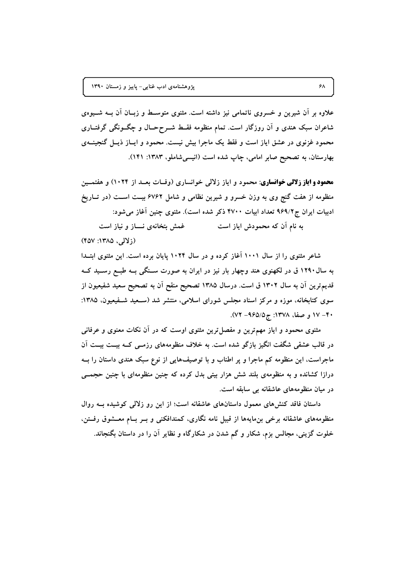علاوه بر آن شیرین و خسروی ناتمامی نیز داشته است. مثنوی متوسـط و زبـان آن بــه شــیوهی شاعران سبک هندی و اَن روزگار است. تمام منظومه فقـط شــرححــال و چگــونگی گرفتــاری محمود غزنوی در عشق ایاز است و فقط یک ماجرا بیش نیست. محمود و ایــاز ذیــل گنجینـــهی بهارستان، به تصحیح صابر امامی، چاپ شده است (انیسی شاملو، ۱۳۸۳: ۱۴۱).

**محمود و ایاز زلالی خوانساری**: محمود و ایاز زلالی خوانساری (وفــات بعــد از ۱۰۲۴) و هفتمــین منظومه از هفت گنج وی به وزن خسرو و شیرین نظامی و شامل ۶۷۶۲ بیــت اســت (در تــاریخ ادبیات ایران ج۹۶۹/۲ تعداد ابیات ۴۷۰۰ ذکر شده است). مثنوی چنین آغاز می شود:

به نام آن که محمودش ایاز است غمش بتخانهی نساز و نیاز است  $(YAY:YAA, QY)$ 

شاعر مثنوی را از سال ۱۰۰۱ آغاز کرده و در سال ۱۰۲۴ پایان برده است. این مثنوی ابتـدا به سال ۱۲۹۰ ق در لکهنوی هند وچهار بار نیز در ایران به صورت سـنگی بــه طبــع رســید کــه قديم ترين آن به سال ١٣٠٢ ق است. درسال ١٣٨۵ تصحيح منقح آن به تصحيح سعيد شفيعيون از سوی کتابخانه، موزه و مرکز اسناد مجلس شورای اسلامی، منتشر شد (سـعید شـفیعیون، ۱۳۸۵: ۴۰– ۱۷ و صفا، ۱۳۷۸: ج۵/۵۶۵– ۷۲).

مثنوی محمود و ایاز مهمترین و مفصل ترین مثنوی اوست که در آن نکات معنوی و عرفانی در قالب عشقی شگفت انگیز بازگو شده است. به خلاف منظومههای رزمــی کــه بیــت بیــت آن ماجراست، این منظومه کم ماجرا و پر اطناب و با توصیفهایی از نوع سبک هندی داستان را بــه درازا کشانده و به منظومهی بلند شش هزار بیتی بدل کرده که چنین منظومهای با چنین حجمــی در میان منظومههای عاشقانه بی سابقه است.

داستان فاقد کنشهای معمول داستانهای عاشقانه است؛ از این رو زلالی کوشیده بـه روال منظومههای عاشقانه برخی بن مایهها از قبیل نامه نگاری، کمندافکنی و بـر بـام معــشوق رفــتن، خلوت گزینی، مجالس بزم، شکار و گم شدن در شکارگاه و نظایر آن را در داستان بگنجاند.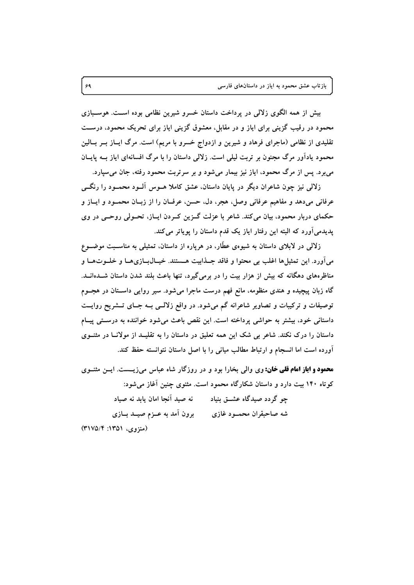بیش از همه الگوی زلالی در پرداخت داستان خسرو شیرین نظامی بوده است. هوسبازی محمود در رقیب گزینی برای ایاز و در مقابل، معشوق گزینی ایاز برای تحریک محمود، درست تقلیدی از نظامی (ماجرای فرهاد و شیرین و ازدواج خسرو با مریم) است. مرگ ایــاز بــر بــالین محمود یادآور مرگ مجنون بر تربت لیلی است. زلالی داستان را با مرگ افسانهای ایاز بــه پایــان می برد. پس از مرگ محمود، ایاز نیز بیمار می شود و بر سرتربت محمود رفته، جان می سیارد.

زلالی نیز چون شاعران دیگر در پایان داستان، عشق کاملا هــوس آلــود محمــود را رنگـــی عرفاني ميدهد و مفاهيم عرفاني وصل، هجر، دل، حسن، عرفــان را از زبــان محمــود و ايــاز و حکمای دربار محمود، بیان می کند. شاعر با عزلت گــزین کــردن ایــاز، تحــولی روحــی در وی پدیدمی اَورد که البته این رفتار ایاز یک قدم داستان را پویاتر می کند.

زلالی در لابلای داستان به شیوهی عطَّار، در هرپاره از داستان، تمثیلی به مناسـبت موضــوع ميأورد. اين تمثيلها اغلب بي محتوا و فاقد جــذابيت هــستند. خيــالبــازيهــا و خلــوتهــا و مناظرههای دهگانه که بیش از هزار بیت را در برمیگیرد، تنها باعث بلند شدن داستان شـدهانــد. گاه زبان پیچیده و هندی منظومه، مانع فهم درست ماجرا میشود. سیر روایی داســتان در هجــوم توصیفات و ترکیبات و تصاویر شاعرانه گم میشود. در واقع زلالــی بــه جــای تــشریح روایــت داستانی خود، بیشتر به حواشی پرداخته است. این نقص باعث میشود خواننده به درستی پیـام داستان را درک نکند. شاعر بی شک این همه تعلیق در داستان را به تقلیــد از مولانــا در مثنــوی آورده است اما انسجام و ارتباط مطالب میانی را با اصل داستان نتوانسته حفظ کند.

**محمود و ایاز امام قلبی خان:** وی والی بخارا بود و در روزگار شاه عباس می زیست. ایس مثنوی کوتاه ۱۴۰ بیت دارد و داستان شکارگاه محمود است. مثنوی چنین آغاز می شود:

چو گردد صیدگاه عشــق بنیاد مسلم آنجا امان یابد نه صیاد (منزوی، ۱۳۵۱: ۳۱۷۵/۴)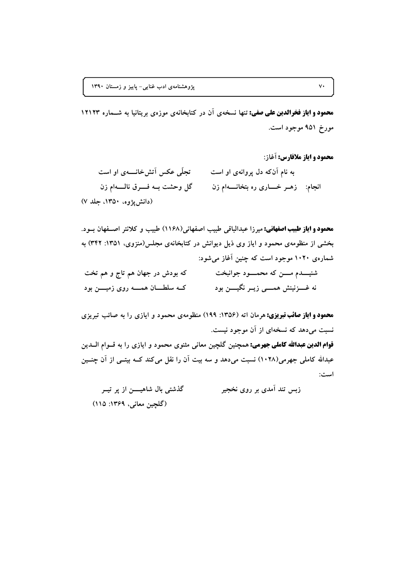محمود و ایاز فخرالدین علی صفی: تنها نسخهی آن در کتابخانهی موزهی بریتانیا به شــماره ۱۲۱۲۳ مورخ ۹۵۱ موجود است.

محمود و اياز ملافارس: آغاز:

تجلَّى عكس آتش خانـــــهي او است به نام آنکه دل پروانهی او است گل وحشت بــه فـــــرق نالــــــهام زن انجام: زهـر خــــاری ره بتخانــــهام زن (دانش یژوه، ۱۳۵۰، جلد ۷)

محمود و ایاز طبیب اصفهانی: میرزا عبدالباقی طبیب اصفهانی(۱۱۶۸) طبیب و کلانتر اصـفهان بـود. بخشی از منظومهی محمود و ایاز وی ذیل دیوانش در کتابخانهی مجلس(منزوی، ۱۳۵۱: ۳۴۲) به شمارهی ۱۰۲۰ موجود است که چنین آغاز می شود:

| که بودش در جهان هم تاج و هم تخت           | شنیـــــدم مـــــن که محمـــــود جوانبخت   |
|-------------------------------------------|--------------------------------------------|
| کــه سلطــــان همـــــه روی زمیـــــن بود | نه غــــزنینش همـــــی زیــر نگیـــــن بود |

**محمود و ایاز صائب تبریزی:** هرمان اته (۱۳۵۶: ۱۹۹) منظومهی محمود و ایازی را به صائب تبریزی نسبت می دهد که نسخهای از آن موجود نیست.

**قوام الدین عبدالله کاملی جهرمی:** همچنین گلچین معان*ی* مثنوی محمود و ایازی را به قــوام الــدین عبدالله کاملی جهرمی(۱۰۲۸) نسبت میدهد و سه بیت آن را نقل میکند کــه بیتــی از آن چنــین است:

گذشتی بال شاهیسن از پر تیسر زبس تند آمدی بر روی نخجیر (گلچین معانی، ۱۳۶۹: ۱۱۵)

 $\mathsf{v}\cdot$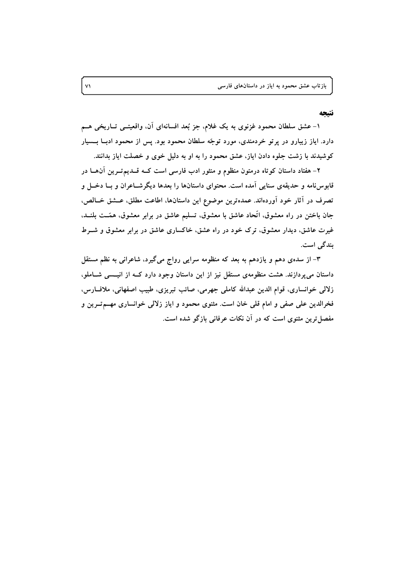#### نتتحه

۱- عشق سلطان محمود غزنوی به یک غلام، جز بُعد افسانهای آن، واقعیتــی تــاریخی هــم دارد. ایاز زیبارو در پرتو خردمندی، مورد توجّه سلطان محمود بود. پس از محمود ادبــا بـــسیار کوشیدند با زشت جلوه دادن ایاز، عشق محمود را به او به دلیل خوی و خصلت ایاز بدانند.

۲- هفتاد داستان کوتاه درمتون منظوم و منثور ادب فارسی است کــه قــدیمتــرین آن۱ــا در قابوسنامه و حدیقهی سنایی آمده است. محتوای داستانها را بعدها دیگرشــاعران و بــا دخــل و تصرف در آثار خود آوردهاند. عمدهترین موضوع این داستانها، اطاعت مطلق، عــشق خــالص، جان باختن در راه معشوق، اتّحاد عاشق با معشوق، تسليم عاشق در برابر معشوق، همّــت بلنــد، غیرت عاشق، دیدار معشوق، ترک خود در راه عشق، خاکساری عاشق در برابر معشوق و شــرط بندگی است.

۳– از سدهی دهم و یازدهم به بعد که منظومه سرایی رواج میگیرد، شاعرانی به نظم مستقل داستان میپردازند. هشت منظومهی مستقل نیز از این داستان وجود دارد کــه از انیــسی شــاملو، زلالي خوانساري، قوام الدين عبدالله كاملي جهرمي، صائب تبريزي، طبيب اصفهاني، ملاف)رس، فخرالدین علی صفی و امام قلی خان است. مثنوی محمود و ایاز زلالی خوانساری مهــمتــرین و مفصل ترین مثنوی است که در آن نکات عرفانی بازگو شده است.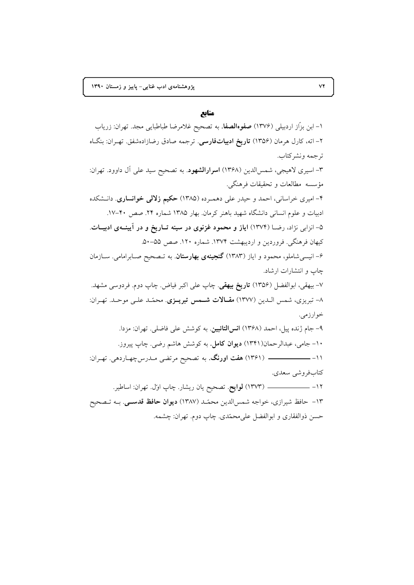## منابع

۱– ابن بزّاز اردبیلی (۱۳۷۶) **صفوهالصفا**. به تصحیح غلامرضا طباطبایی مجد. تهران: زریاب ۲– اته، کارل هرمان (۱۳۵۶) **تاریخ ادبیاتفارسی**. ترجمه صادق رضازادهشفق. تهـران: بنگـاه ترجمه ونشركتاب. ۳- اسیری لاهیجی، شمسالدین (۱۳۶۸) **اسرارالشهود**. به تصحیح سید علی آل داوود. تهران: مؤسسه مطالعات و تحقيقات فرهنگي. ۴- امیری خراسانی، احمد و حیدر علی دهمـرده (۱۳۸۵) حکیم **زلالی خوانساری**. دانـشکده ادبیات و علوم انسانی دانشگاه شهید باهنر کرمان. بهار ۱۳۸۵ شماره ۲۴. صص ۴۰-۱۷. ۵– انزابی نژاد، رضــا (۱۳۷۴) ایاز و محمود غزنوی در سینه تــاریخ و در آیینــهی ادبیــات. كيهان فرهنگي. فروردين و ارديبهشت ١٣٧۴. شماره ١٢٠. صص ٥۵–۵۰. ۶– انیسی شاملو، محمود و ایاز (۱۳۸۳) **گنجینهی بهارستان**. به تـصحیح صـابرامامی. ســازمان چاپ و انتشارات ارشاد. ۷- بیهقی، ابوالفضل (۱۳۵۶) **تاریخ بیهقی**. چاپ علی اکبر فیاض. چاپ دوم. فردوسی مشهد. ٨- تبريزي، شمس الـدين (١٣٧٧) مقـالات شـمس تبريـزي. محمّـد علـي موحـد. تهـران: خوارزمي. ۹- جام ژنده پیل، احمد (۱۳۶۸) ا**نسالتائبین**. به کوشش علی فاضلی. تهران: مزدا. ۱۰- جامی، عبدالرحمان(۱۳۴۱) **دیوان کامل**. به کوشش هاشم رضی. چاپ پیروز. كتابفروشي سعدي. ۱۳- حافظ شیرازی، خواجه شمسالدین محمّد (۱۳۸۷) **دیوان حافظ قدســی**. بــه تــصحیح حسن ذوالفقاري و ابوالفضل على محمّدي. چاپ دوم. تهران: چشمه.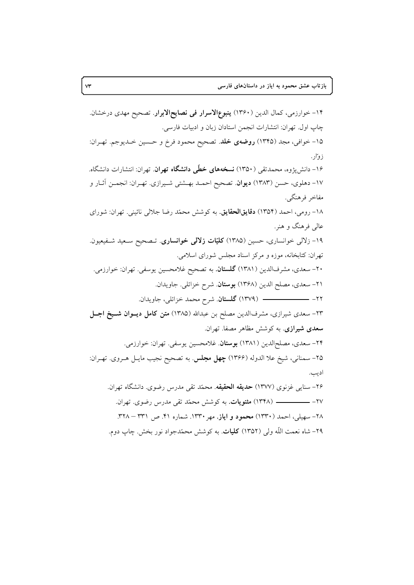۱۴– خوارزمی، کمال الدین (۱۳۶۰) **ینبوع|لاسرار فی نصایح|لابرار**. تصحیح مهدی درخشان. چاپ اول. تهران: انتشارات انجمن استادان زبان و ادبيات فارسي. ۱۵– خوافی، مجد (۱۳۴۵) **روضهی خلد**. تصحیح محمود فرخ و حــسین خــدیوجم. تهـران: ز و ار . ۱۶– دانش یژوه، محمدتقی (۱۳۵۰) **نسخههای خطّی دانشگاه تهران**. تهران: انتشارات دانشگاه. ۱۷- دهلوی، حسن (۱۳۸۳) **دیوان**. تصحیح احمـد بهــشتی شــیرازی. تهـران: انجمـن اثـار و مفاخر فرهنگي. ۱۸– رومی، احمد (۱۳۵۴) **دقایقالحقایق**. به کوشش محمّد رضا جلالی نائینی. تهران: شورای عالي فرهنگ و هنر. ۱۹– زلال<sub>ی</sub> خوانساری، حسین (۱۳۸۵) **کلیّات زلالی خوانساری**. تــصحیح ســعید شــفیعیون. تهران: کتابخانه، موزه و مرکز اسناد مجلس شورای اسلامی. ۲۰– سعدی، مشرفالدین (۱۳۸۱) **گلستان**. به تصحیح غلامحسین یوسفی. تهران: خوارزمی. ٢١- سعدي، مصلح الدين (١٣۶٨) بوستان. شرح خزائلي. جاويدان. .6-A i
S - m1D .**J** (1379) -22 **a< x% a-H M-** (1385) n-.K ) 34 )-Jl1G 1D -N -23 **سعدی شیرازی**. به کوشش مظاهر مصفا. تهران. ۲۴- سعدي، مصلحالدين (۱۳۸۱) **بوستان**. غلامحسين يوسفي. تهران: خوارزمي. ۲۵– سمنانی، شیخ علا الدوله (۱۳۶۶) **چهل مجلس**. به تصحیح نجیب مایــل هــروی. تهـران: اديب. ۲۶- سنایی غزنوی (۱۳۷۷) **حدیقه الحقیقه**. محمّد تقی مدرس رضوی. دانشگاه تهران. .617 .0 c- M -] aD< - **.N^-** (1348) -27 ۲۸– سهیلی، احمد (۱۳۳۰) **محمود و ایاز**. مهر ۱۳۳۰. شماره ۴۱. ص ۳۳۱ – ۳۲۸. ۲۹– شاه نعمت الله ول<sub>ی</sub> (۱۳۵۲) **کلیات**. به کوشش محمّدجواد نور بخش. چاپ دوم.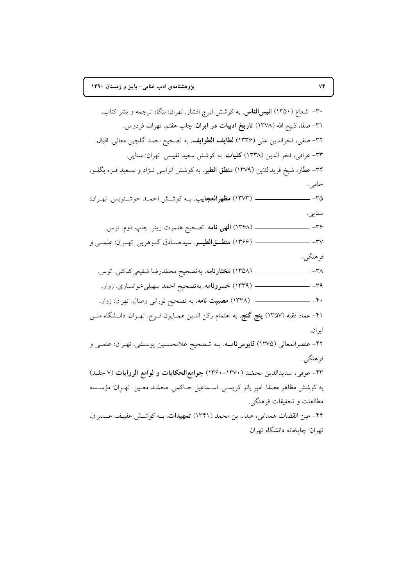$V\tilde{Y}$